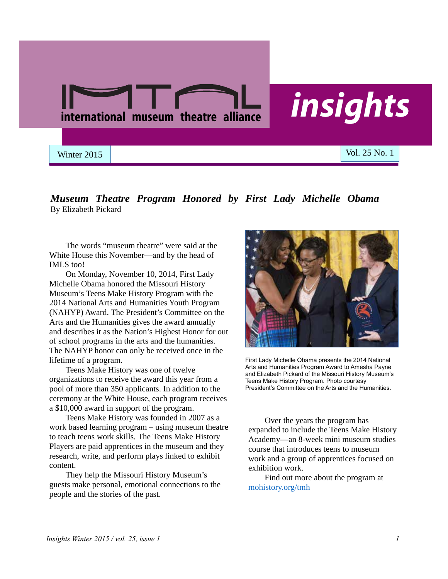

## *Museum Theatre Program Honored by First Lady Michelle Obama* By Elizabeth Pickard

The words "museum theatre" were said at the White House this November—and by the head of IMLS too!

On Monday, November 10, 2014, First Lady Michelle Obama honored the Missouri History Museum's Teens Make History Program with the 2014 National Arts and Humanities Youth Program (NAHYP) Award. The President's Committee on the Arts and the Humanities gives the award annually and describes it as the Nation's Highest Honor for out of school programs in the arts and the humanities. The NAHYP honor can only be received once in the lifetime of a program.

Teens Make History was one of twelve organizations to receive the award this year from a pool of more than 350 applicants. In addition to the ceremony at the White House, each program receives a \$10,000 award in support of the program.

Teens Make History was founded in 2007 as a work based learning program – using museum theatre to teach teens work skills. The Teens Make History Players are paid apprentices in the museum and they research, write, and perform plays linked to exhibit content.

They help the Missouri History Museum's guests make personal, emotional connections to the people and the stories of the past.



First Lady Michelle Obama presents the 2014 National Arts and Humanities Program Award to Amesha Payne and Elizabeth Pickard of the Missouri History Museum's Teens Make History Program. Photo courtesy President's Committee on the Arts and the Humanities.

Over the years the program has expanded to include the Teens Make History Academy—an 8-week mini museum studies course that introduces teens to museum work and a group of apprentices focused on exhibition work.

Find out more about the program at mohistory.org/tmh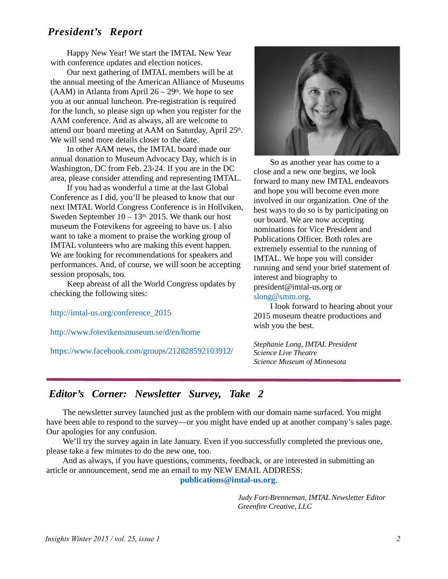## *President's Report*

Happy New Year! We start the IMTAL New Year with conference updates and election notices.

Our next gathering of IMTAL members will be at the annual meeting of the American Alliance of Museums (AAM) in Atlanta from April  $26 - 29$ th. We hope to see you at our annual luncheon. Pre-registration is required for the lunch, so please sign up when you register for the AAM conference. And as always, all are welcome to attend our board meeting at AAM on Saturday, April 25th. We will send more details closer to the date.

In other AAM news, the IMTAL board made our annual donation to Museum Advocacy Day, which is in Washington, DC from Feb. 23-24. If you are in the DC area, please consider attending and representing IMTAL.

If you had as wonderful a time at the last Global Conference as I did, you'll be pleased to know that our next IMTAL World Congress Conference is in Hollviken, Sweden September  $10 - 13$ <sup>th, 2015. We thank our host</sup> museum the Fotevikens for agreeing to have us. I also want to take a moment to praise the working group of IMTAL volunteers who are making this event happen. We are looking for recommendations for speakers and performances. And, of course, we will soon be accepting session proposals, too.

Keep abreast of all the World Congress updates by checking the following sites:

[http://imtal-us.org/conference\\_2015](http://imtal-us.org/conference_2015)

<http://www.fotevikensmuseum.se/d/en/home>

<https://www.facebook.com/groups/212828592103912/>



So as another year has come to a close and a new one begins, we look forward to many new IMTAL endeavors and hope you will become even more involved in our organization. One of the best ways to do so is by participating on our board. We are now accepting nominations for Vice President and Publications Officer. Both roles are extremely essential to the running of IMTAL. We hope you will consider running and send your brief statement of interest and biography to [president@imtal-us.org](mailto:president@imtal-us.org) or [slong@smm.org](mailto:slong@smm.org).

I look forward to hearing about your 2015 museum theatre productions and wish you the best.

*Stephanie Long, IMTAL President Science Live Theatre Science Museum of Minnesota*

# *Editor's Corner: Newsletter Survey, Take 2*

The newsletter survey launched just as the problem with our domain name surfaced. You might have been able to respond to the survey—or you might have ended up at another company's sales page. Our apologies for any confusion.

We'll try the survey again in late January. Even if you successfully completed the previous one, please take a few minutes to do the new one, too.

And as always, if you have questions, comments, feedback, or are interested in submitting an article or announcement, send me an email to my NEW EMAIL ADDRESS:

**[publications@imtal-us.org](mailto:publications@imtal-us.org)**.

*Judy Fort-Brenneman, IMTAL Newsletter Editor Greenfire Creative, LLC*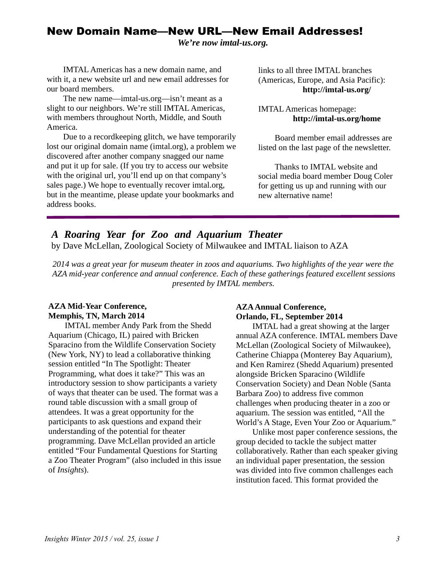## New Domain Name—New URL—New Email Addresses!

*We're now imtal-us.org.*

IMTAL Americas has a new domain name, and with it, a new website url and new email addresses for our board members.

The new name—imtal-us.org—isn't meant as a slight to our neighbors. We're still IMTAL Americas, with members throughout North, Middle, and South America.

Due to a recordkeeping glitch, we have temporarily lost our original domain name (imtal.org), a problem we discovered after another company snagged our name and put it up for sale. (If you try to access our website with the original url, you'll end up on that company's sales page.) We hope to eventually recover imtal.org, but in the meantime, please update your bookmarks and address books.

links to all three IMTAL branches (Americas, Europe, and Asia Pacific): **<http://imtal-us.org/>**

IMTAL Americas homepage: **<http://imtal-us.org/home>**

Board member email addresses are listed on the last page of the newsletter.

Thanks to IMTAL website and social media board member Doug Coler for getting us up and running with our new alternative name!

# *A Roaring Year for Zoo and Aquarium Theater*

by Dave McLellan, Zoological Society of Milwaukee and IMTAL liaison to AZA

*2014 was a great year for museum theater in zoos and aquariums. Two highlights of the year were the AZA mid-year conference and annual conference. Each of these gatherings featured excellent sessions presented by IMTAL members.*

## **AZA Mid-Year Conference, Memphis, TN, March 2014**

IMTAL member Andy Park from the Shedd Aquarium (Chicago, IL) paired with Bricken Sparacino from the Wildlife Conservation Society (New York, NY) to lead a collaborative thinking session entitled "In The Spotlight: Theater Programming, what does it take?" This was an introductory session to show participants a variety of ways that theater can be used. The format was a round table discussion with a small group of attendees. It was a great opportunity for the participants to ask questions and expand their understanding of the potential for theater programming. Dave McLellan provided an article entitled "Four Fundamental Questions for Starting a Zoo Theater Program" (also included in this issue of *Insights*).

## **AZA Annual Conference, Orlando, FL, September 2014**

IMTAL had a great showing at the larger annual AZA conference. IMTAL members Dave McLellan (Zoological Society of Milwaukee), Catherine Chiappa (Monterey Bay Aquarium), and Ken Ramirez (Shedd Aquarium) presented alongside Bricken Sparacino (Wildlife Conservation Society) and Dean Noble (Santa Barbara Zoo) to address five common challenges when producing theater in a zoo or aquarium. The session was entitled, "All the World's A Stage, Even Your Zoo or Aquarium."

Unlike most paper conference sessions, the group decided to tackle the subject matter collaboratively. Rather than each speaker giving an individual paper presentation, the session was divided into five common challenges each institution faced. This format provided the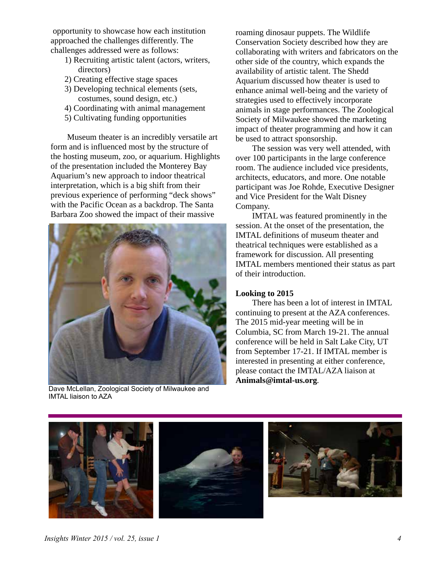opportunity to showcase how each institution approached the challenges differently. The challenges addressed were as follows:

- 1) Recruiting artistic talent (actors, writers, directors)
- 2) Creating effective stage spaces
- 3) Developing technical elements (sets, costumes, sound design, etc.)
- 4) Coordinating with animal management
- 5) Cultivating funding opportunities

Museum theater is an incredibly versatile art form and is influenced most by the structure of the hosting museum, zoo, or aquarium. Highlights of the presentation included the Monterey Bay Aquarium's new approach to indoor theatrical interpretation, which is a big shift from their previous experience of performing "deck shows" with the Pacific Ocean as a backdrop. The Santa Barbara Zoo showed the impact of their massive



Dave McLellan, Zoological Society of Milwaukee and IMTAL liaison to AZA

roaming dinosaur puppets. The Wildlife Conservation Society described how they are collaborating with writers and fabricators on the other side of the country, which expands the availability of artistic talent. The Shedd Aquarium discussed how theater is used to enhance animal well-being and the variety of strategies used to effectively incorporate animals in stage performances. The Zoological Society of Milwaukee showed the marketing impact of theater programming and how it can be used to attract sponsorship.

The session was very well attended, with over 100 participants in the large conference room. The audience included vice presidents, architects, educators, and more. One notable participant was Joe Rohde, Executive Designer and Vice President for the Walt Disney Company.

IMTAL was featured prominently in the session. At the onset of the presentation, the IMTAL definitions of museum theater and theatrical techniques were established as a framework for discussion. All presenting IMTAL members mentioned their status as part of their introduction.

## **Looking to 2015**

There has been a lot of interest in IMTAL continuing to present at the AZA conferences. The 2015 mid-year meeting will be in Columbia, SC from March 19-21. The annual conference will be held in Salt Lake City, UT from September 17-21. If IMTAL member is interested in presenting at either conference, please contact the IMTAL/AZA liaison at **[Animals@imtal-us.org](mailto:animals@imtal-us.org)**.

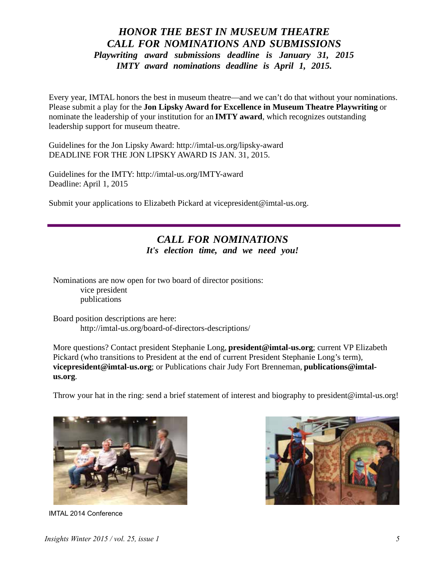## *HONOR THE BEST IN MUSEUM THEATRE CALL FOR NOMINATIONS AND SUBMISSIONS Playwriting award submissions deadline is January 31, 2015 IMTY award nominations deadline is April 1, 2015.*

Every year, IMTAL honors the best in museum theatre—and we can't do that without your nominations. Please submit a play for the **Jon Lipsky Award for Excellence in Museum Theatre Playwriting** or nominate the leadership of your institution for an **IMTY award**, which recognizes outstanding leadership support for museum theatre.

Guidelines for the Jon Lipsky Award:<http://imtal-us.org/lipsky-award> DEADLINE FOR THE JON LIPSKY AWARD IS JAN. 31, 2015.

Guidelines for the IMTY: <http://imtal-us.org/IMTY-award> Deadline: April 1, 2015

Submit your applications to Elizabeth Pickard at [vicepresident@imtal-us.org](mailto:vicepresident@imtal-us.org).

# *CALL FOR NOMINATIONS It's election time, and we need you!*

Nominations are now open for two board of director positions: vice president publications

Board position descriptions are here: <http://imtal-us.org/board-of-directors-descriptions/>

More questions? Contact president Stephanie Long, **[president@imtal-us.org](mailto:president@imtal-us.org;)**; current VP Elizabeth Pickard (who transitions to President at the end of current President Stephanie Long's term), **[vicepresident@imtal-us.org](mailto:vicepresident@imtal-us.org;)**[; or Publications chair Judy Fort Brenneman,](mailto:publications@imtalus.org) **publications@imtalus.org**.

Throw your hat in the ring: send a brief statement of interest and biography to [president@imtal-us.org!](mailto:president@imtal-us.org!)



IMTAL 2014 Conference

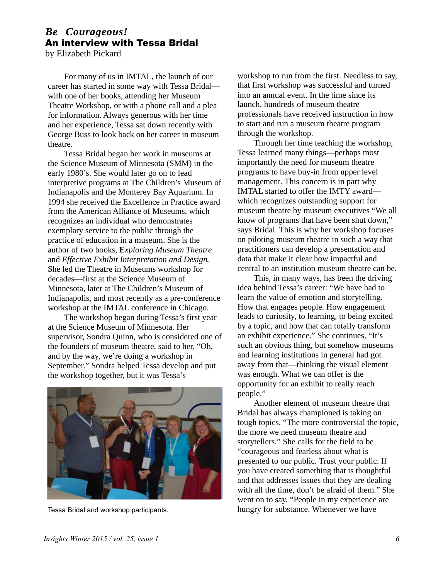# *Be Courageous!* An interview with Tessa Bridal

by Elizabeth Pickard

For many of us in IMTAL, the launch of our career has started in some way with Tessa Bridal with one of her books, attending her Museum Theatre Workshop, or with a phone call and a plea for information. Always generous with her time and her experience, Tessa sat down recently with George Buss to look back on her career in museum theatre.

Tessa Bridal began her work in museums at the Science Museum of Minnesota (SMM) in the early 1980's. She would later go on to lead interpretive programs at The Children's Museum of Indianapolis and the Monterey Bay Aquarium. In 1994 she received the Excellence in Practice award from the American Alliance of Museums, which recognizes an individual who demonstrates exemplary service to the public through the practice of education in a museum. She is the author of two books, **E***xploring Museum Theatre* and *Effective Exhibit Interpretation and Design*. She led the Theatre in Museums workshop for decades—first at the Science Museum of Minnesota, later at The Children's Museum of Indianapolis, and most recently as a pre-conference workshop at the IMTAL conference in Chicago.

The workshop began during Tessa's first year at the Science Museum of Minnesota. Her supervisor, Sondra Quinn, who is considered one of the founders of museum theatre, said to her, "Oh, and by the way, we're doing a workshop in September." Sondra helped Tessa develop and put the workshop together, but it was Tessa's



Tessa Bridal and workshop participants.

workshop to run from the first. Needless to say, that first workshop was successful and turned into an annual event. In the time since its launch, hundreds of museum theatre professionals have received instruction in how to start and run a museum theatre program through the workshop.

Through her time teaching the workshop, Tessa learned many things—perhaps most importantly the need for museum theatre programs to have buy-in from upper level management. This concern is in part why IMTAL started to offer the IMTY award which recognizes outstanding support for museum theatre by museum executives "We all know of programs that have been shut down," says Bridal. This is why her workshop focuses on piloting museum theatre in such a way that practitioners can develop a presentation and data that make it clear how impactful and central to an institution museum theatre can be.

This, in many ways, has been the driving idea behind Tessa's career: "We have had to learn the value of emotion and storytelling. How that engages people. How engagement leads to curiosity, to learning, to being excited by a topic, and how that can totally transform an exhibit experience." She continues, "It's such an obvious thing, but somehow museums and learning institutions in general had got away from that—thinking the visual element was enough. What we can offer is the opportunity for an exhibit to really reach people."

Another element of museum theatre that Bridal has always championed is taking on tough topics. "The more controversial the topic, the more we need museum theatre and storytellers." She calls for the field to be "courageous and fearless about what is presented to our public. Trust your public. If you have created something that is thoughtful and that addresses issues that they are dealing with all the time, don't be afraid of them." She went on to say, "People in my experience are hungry for substance. Whenever we have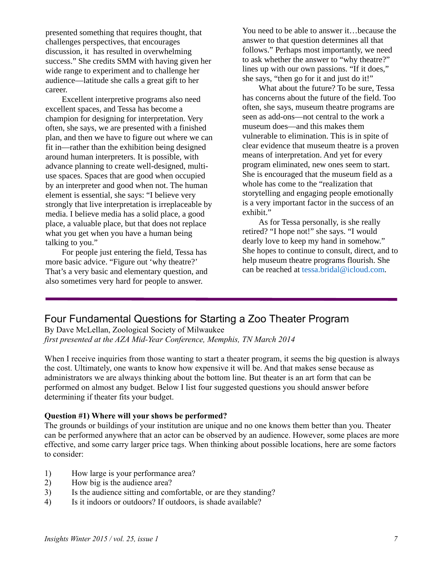presented something that requires thought, that challenges perspectives, that encourages discussion, it has resulted in overwhelming success." She credits SMM with having given her wide range to experiment and to challenge her audience—latitude she calls a great gift to her career.

Excellent interpretive programs also need excellent spaces, and Tessa has become a champion for designing for interpretation. Very often, she says, we are presented with a finished plan, and then we have to figure out where we can fit in—rather than the exhibition being designed around human interpreters. It is possible, with advance planning to create well-designed, multiuse spaces. Spaces that are good when occupied by an interpreter and good when not. The human element is essential, she says: "I believe very strongly that live interpretation is irreplaceable by media. I believe media has a solid place, a good place, a valuable place, but that does not replace what you get when you have a human being talking to you."

For people just entering the field, Tessa has more basic advice. "Figure out 'why theatre?' That's a very basic and elementary question, and also sometimes very hard for people to answer.

You need to be able to answer it…because the answer to that question determines all that follows." Perhaps most importantly, we need to ask whether the answer to "why theatre?" lines up with our own passions. "If it does," she says, "then go for it and just do it!"

What about the future? To be sure, Tessa has concerns about the future of the field. Too often, she says, museum theatre programs are seen as add-ons—not central to the work a museum does—and this makes them vulnerable to elimination. This is in spite of clear evidence that museum theatre is a proven means of interpretation. And yet for every program eliminated, new ones seem to start. She is encouraged that the museum field as a whole has come to the "realization that storytelling and engaging people emotionally is a very important factor in the success of an exhibit."

As for Tessa personally, is she really retired? "I hope not!" she says. "I would dearly love to keep my hand in somehow." She hopes to continue to consult, direct, and to help museum theatre programs flourish. She can be reached at [tessa.bridal@icloud.com.](mailto:tessa.bridal@icloud.com)

# Four Fundamental Questions for Starting a Zoo Theater Program

By Dave McLellan, Zoological Society of Milwaukee *first presented at the AZA Mid-Year Conference, Memphis, TN March 2014*

When I receive inquiries from those wanting to start a theater program, it seems the big question is always the cost. Ultimately, one wants to know how expensive it will be. And that makes sense because as administrators we are always thinking about the bottom line. But theater is an art form that can be performed on almost any budget. Below I list four suggested questions you should answer before determining if theater fits your budget.

#### **Question #1) Where will your shows be performed?**

The grounds or buildings of your institution are unique and no one knows them better than you. Theater can be performed anywhere that an actor can be observed by an audience. However, some places are more effective, and some carry larger price tags. When thinking about possible locations, here are some factors to consider:

- 1) How large is your performance area?
- 2) How big is the audience area?
- 3) Is the audience sitting and comfortable, or are they standing?
- 4) Is it indoors or outdoors? If outdoors, is shade available?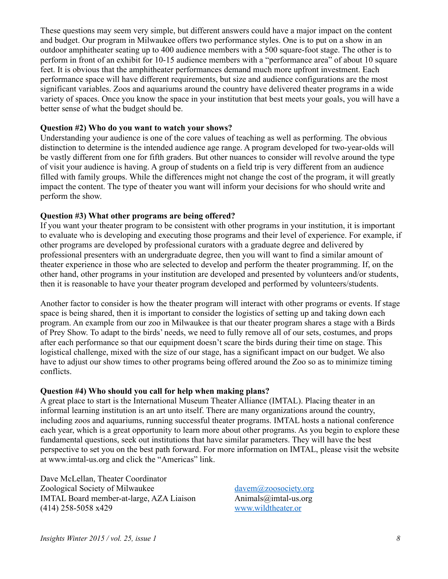These questions may seem very simple, but different answers could have a major impact on the content and budget. Our program in Milwaukee offers two performance styles. One is to put on a show in an outdoor amphitheater seating up to 400 audience members with a 500 square-foot stage. The other is to perform in front of an exhibit for 10-15 audience members with a "performance area" of about 10 square feet. It is obvious that the amphitheater performances demand much more upfront investment. Each performance space will have different requirements, but size and audience configurations are the most significant variables. Zoos and aquariums around the country have delivered theater programs in a wide variety of spaces. Once you know the space in your institution that best meets your goals, you will have a better sense of what the budget should be.

### **Question #2) Who do you want to watch your shows?**

Understanding your audience is one of the core values of teaching as well as performing. The obvious distinction to determine is the intended audience age range. A program developed for two-year-olds will be vastly different from one for fifth graders. But other nuances to consider will revolve around the type of visit your audience is having. A group of students on a field trip is very different from an audience filled with family groups. While the differences might not change the cost of the program, it will greatly impact the content. The type of theater you want will inform your decisions for who should write and perform the show.

### **Question #3) What other programs are being offered?**

If you want your theater program to be consistent with other programs in your institution, it is important to evaluate who is developing and executing those programs and their level of experience. For example, if other programs are developed by professional curators with a graduate degree and delivered by professional presenters with an undergraduate degree, then you will want to find a similar amount of theater experience in those who are selected to develop and perform the theater programming. If, on the other hand, other programs in your institution are developed and presented by volunteers and/or students, then it is reasonable to have your theater program developed and performed by volunteers/students.

Another factor to consider is how the theater program will interact with other programs or events. If stage space is being shared, then it is important to consider the logistics of setting up and taking down each program. An example from our zoo in Milwaukee is that our theater program shares a stage with a Birds of Prey Show. To adapt to the birds' needs, we need to fully remove all of our sets, costumes, and props after each performance so that our equipment doesn't scare the birds during their time on stage. This logistical challenge, mixed with the size of our stage, has a significant impact on our budget. We also have to adjust our show times to other programs being offered around the Zoo so as to minimize timing conflicts.

#### **Question #4) Who should you call for help when making plans?**

A great place to start is the International Museum Theater Alliance (IMTAL). Placing theater in an informal learning institution is an art unto itself. There are many organizations around the country, including zoos and aquariums, running successful theater programs. IMTAL hosts a national conference each year, which is a great opportunity to learn more about other programs. As you begin to explore these fundamental questions, seek out institutions that have similar parameters. They will have the best perspective to set you on the best path forward. For more information on IMTAL, please visit the website at [www.imtal-us.org](http://www.imtal-us.org) and click the "Americas" link.

Dave McLellan, Theater Coordinator Zoological Society of Milwaukee [davem@zoosociety.org](mailto:davem@zoosociety.org) IMTAL Board member-at-large, AZA Liaison [Animals@imtal-us.org](mailto:animals@imtal-us.org) (414) 258-5058 x429 [www.wildtheater.or](http://www.wildtheater.or)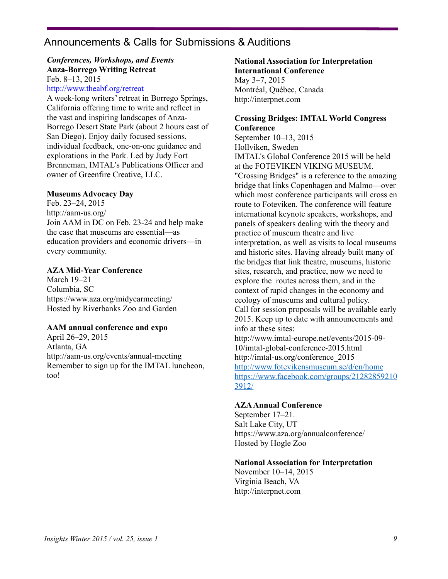# Announcements & Calls for Submissions & Auditions

#### *Conferences, Workshops, and Events* **Anza-Borrego Writing Retreat** Feb. 8–13, 2015

## <http://www.theabf.org/retreat>

A week-long writers' retreat in Borrego Springs, California offering time to write and reflect in the vast and inspiring landscapes of Anza-Borrego Desert State Park (about 2 hours east of San Diego). Enjoy daily focused sessions, individual feedback, one-on-one guidance and explorations in the Park. Led by Judy Fort Brenneman, IMTAL's Publications Officer and owner of Greenfire Creative, LLC.

#### **Museums Advocacy Day**

Feb. 23–24, 2015 <http://aam-us.org/> Join AAM in DC on Feb. 23-24 and help make the case that museums are essential—as education providers and economic drivers—in every community.

#### **AZA Mid-Year Conference**

March 19–21 Columbia, SC <https://www.aza.org/midyearmeeting/> Hosted by Riverbanks Zoo and Garden

#### **AAM annual conference and expo**

April 26–29, 2015 Atlanta, GA <http://aam-us.org/events/annual-meeting> Remember to sign up for the IMTAL luncheon, too!

### **National Association for Interpretation International Conference** May 3–7, 2015 Montréal, Québec, Canada <http://interpnet.com>

### **Crossing Bridges: IMTAL World Congress Conference**

September 10–13, 2015 Hollviken, Sweden IMTAL's Global Conference 2015 will be held at the FOTEVIKEN VIKING MUSEUM. "Crossing Bridges" is a reference to the amazing bridge that links Copenhagen and Malmo—over which most conference participants will cross en route to Foteviken. The conference will feature international keynote speakers, workshops, and panels of speakers dealing with the theory and practice of museum theatre and live interpretation, as well as visits to local museums and historic sites. Having already built many of the bridges that link theatre, museums, historic sites, research, and practice, now we need to explore the routes across them, and in the context of rapid changes in the economy and ecology of museums and cultural policy. Call for session proposals will be available early 2015. Keep up to date with announcements and info at these sites: <http://www.imtal-europe.net/events/2015-09-> 10/imtal-global-conference-2015.html [http://imtal-us.org/conference\\_2015](http://imtal-us.org/conference_2015)

<http://www.fotevikensmuseum.se/d/en/home> <https://www.facebook.com/groups/21282859210> 3912/

#### **AZA Annual Conference**

September 17–21. Salt Lake City, UT <https://www.aza.org/annualconference/> Hosted by Hogle Zoo

#### **National Association for Interpretation**

November 10–14, 2015 Virginia Beach, VA <http://interpnet.com>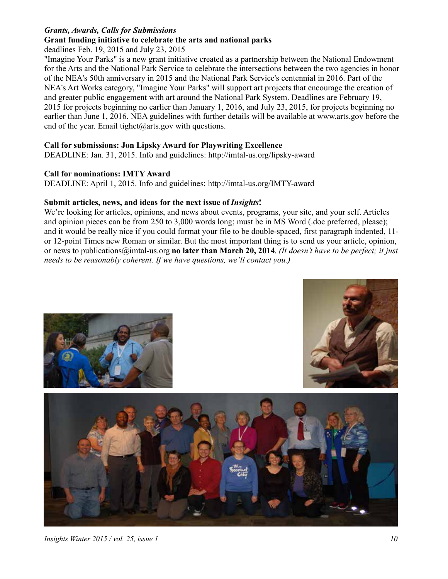## *Grants, Awards, Calls for Submissions*

## **Grant funding initiative to celebrate the arts and national parks**

deadlines Feb. 19, 2015 and July 23, 2015

"Imagine Your Parks" is a new grant initiative created as a partnership between the National Endowment for the Arts and the National Park Service to celebrate the intersections between the two agencies in honor of the NEA's 50th anniversary in 2015 and the National Park Service's centennial in 2016. Part of the NEA's Art Works category, "Imagine Your Parks" will support art projects that encourage the creation of and greater public engagement with art around the National Park System. Deadlines are February 19, 2015 for projects beginning no earlier than January 1, 2016, and July 23, 2015, for projects beginning no earlier than June 1, 2016. NEA guidelines with further details will be available at [www.arts.gov](http://www.arts.gov) before the end of the year. Email tighet  $(a)$  arts gov with questions.

## **Call for submissions: Jon Lipsky Award for Playwriting Excellence**

DEADLINE: Jan. 31, 2015. Info and guidelines: <http://imtal-us.org/lipsky-award>

### **Call for nominations: IMTY Award**

DEADLINE: April 1, 2015. Info and guidelines:<http://imtal-us.org/IMTY-award>

### Submit articles, news, and ideas for the next issue of *Insights*!

We're looking for articles, opinions, and news about events, programs, your site, and your self. Articles and opinion pieces can be from 250 to 3,000 words long; must be in MS Word (.doc preferred, please); and it would be really nice if you could format your file to be double-spaced, first paragraph indented, 11 or 12-point Times new Roman or similar. But the most important thing is to send us your article, opinion, or news to [publications@imtal-us.org](mailto:publications@imtal-us.org) **no later than March 20, 2014**. *(It doesn't have to be perfect; it just needs to be reasonably coherent. If we have questions, we'll contact you.)*







*Insights Winter 2015 / vol. 25, issue 1 10*